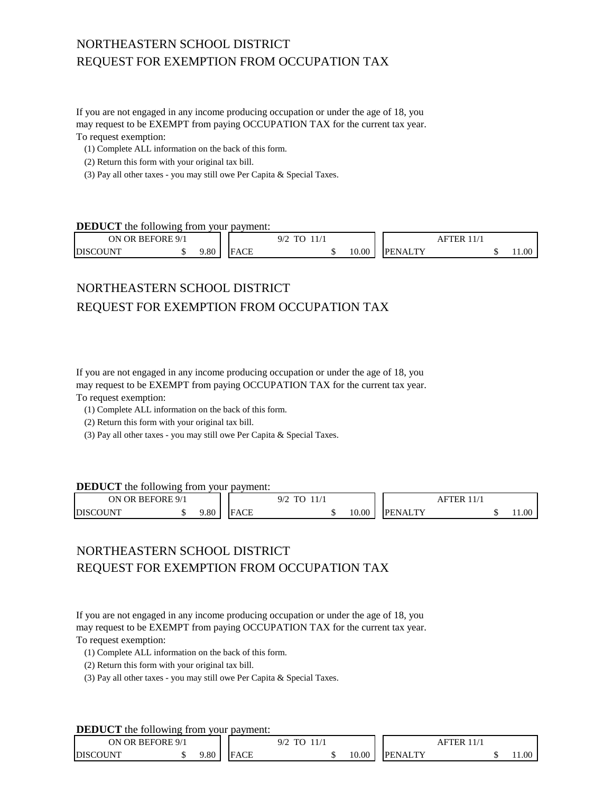# NORTHEASTERN SCHOOL DISTRICT REQUEST FOR EXEMPTION FROM OCCUPATION TAX

If you are not engaged in any income producing occupation or under the age of 18, you may request to be EXEMPT from paying OCCUPATION TAX for the current tax year. To request exemption:

- (1) Complete ALL information on the back of this form.
- (2) Return this form with your original tax bill.
- (3) Pay all other taxes you may still owe Per Capita & Special Taxes.

### **DEDUCT** the following from your payment:

| BEFORE 9/1<br><b>OR</b><br>ЭN |  |     |         | Q/r<br>1/1<br>$\sim$<br>11/1<br>.<br>$  -$ |  |       | FTER<br>ΑF                |  |  |       |
|-------------------------------|--|-----|---------|--------------------------------------------|--|-------|---------------------------|--|--|-------|
| <b>DISCOUNT</b>               |  | .80 | ۱Π<br>Е |                                            |  | 10.00 | <b>TTV</b><br><b>DENA</b> |  |  | 11.00 |

# NORTHEASTERN SCHOOL DISTRICT REQUEST FOR EXEMPTION FROM OCCUPATION TAX

If you are not engaged in any income producing occupation or under the age of 18, you may request to be EXEMPT from paying OCCUPATION TAX for the current tax year. To request exemption:

- (1) Complete ALL information on the back of this form.
- (2) Return this form with your original tax bill.
- (3) Pay all other taxes you may still owe Per Capita & Special Taxes.

### **DEDUCT** the following from your payment:

| <b>BEFORE 9/1</b><br>OR.<br>ОN |  |      |                                            | $\sim$<br>$\mathbf{m}$<br>ىپ<br>1/1<br>. <u>. .</u> |  |       | ΉK<br>Αt             |  |  |       |
|--------------------------------|--|------|--------------------------------------------|-----------------------------------------------------|--|-------|----------------------|--|--|-------|
| <b>DISC</b><br><b>JUNT</b>     |  | 0.80 | $\Lambda$ $\Gamma$ $\Gamma$<br>. н д.<br>w |                                                     |  | 10.00 | T TV<br>РF<br>'N A I |  |  | 11.00 |

## NORTHEASTERN SCHOOL DISTRICT REQUEST FOR EXEMPTION FROM OCCUPATION TAX

If you are not engaged in any income producing occupation or under the age of 18, you may request to be EXEMPT from paying OCCUPATION TAX for the current tax year. To request exemption:

(1) Complete ALL information on the back of this form.

- (2) Return this form with your original tax bill.
- (3) Pay all other taxes you may still owe Per Capita & Special Taxes.

### **DEDUCT** the following from your payment:

| ON OR BEFORE 9/1    |     |                           | .<br>$\mathbf{m}$<br>$\overline{\phantom{a}}$<br>◡ |       |                 | ΉR |       |
|---------------------|-----|---------------------------|----------------------------------------------------|-------|-----------------|----|-------|
| COUNT<br><b>DIS</b> | .80 | $\Lambda$ $\cap$ $\Gamma$ |                                                    | 10.00 | <b>DENAI TV</b> |    | 0.1.0 |